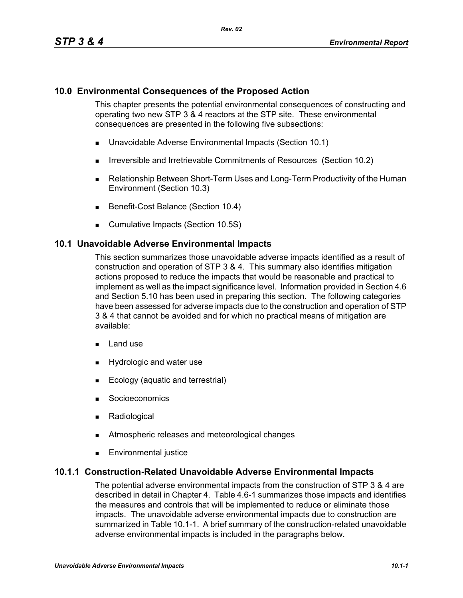## **10.0 Environmental Consequences of the Proposed Action**

This chapter presents the potential environmental consequences of constructing and operating two new STP 3 & 4 reactors at the STP site. These environmental consequences are presented in the following five subsections:

- Unavoidable Adverse Environmental Impacts (Section 10.1)
- **IFIRE 19.5 Irreversible and Irretrievable Commitments of Resources (Section 10.2)**
- Relationship Between Short-Term Uses and Long-Term Productivity of the Human Environment (Section 10.3)
- Benefit-Cost Balance (Section 10.4)
- **Cumulative Impacts (Section 10.5S)**

### **10.1 Unavoidable Adverse Environmental Impacts**

This section summarizes those unavoidable adverse impacts identified as a result of construction and operation of STP 3 & 4. This summary also identifies mitigation actions proposed to reduce the impacts that would be reasonable and practical to implement as well as the impact significance level. Information provided in Section 4.6 and Section 5.10 has been used in preparing this section. The following categories have been assessed for adverse impacts due to the construction and operation of STP 3 & 4 that cannot be avoided and for which no practical means of mitigation are available:

- $\blacksquare$  Land use
- **Hydrologic and water use**
- **Ecology (aquatic and terrestrial)**
- **Socioeconomics**
- **Radiological**
- **EXECUTE:** Atmospheric releases and meteorological changes
- **Environmental justice**

### **10.1.1 Construction-Related Unavoidable Adverse Environmental Impacts**

The potential adverse environmental impacts from the construction of STP 3 & 4 are described in detail in Chapter 4. Table 4.6-1 summarizes those impacts and identifies the measures and controls that will be implemented to reduce or eliminate those impacts. The unavoidable adverse environmental impacts due to construction are summarized in Table 10.1-1. A brief summary of the construction-related unavoidable adverse environmental impacts is included in the paragraphs below.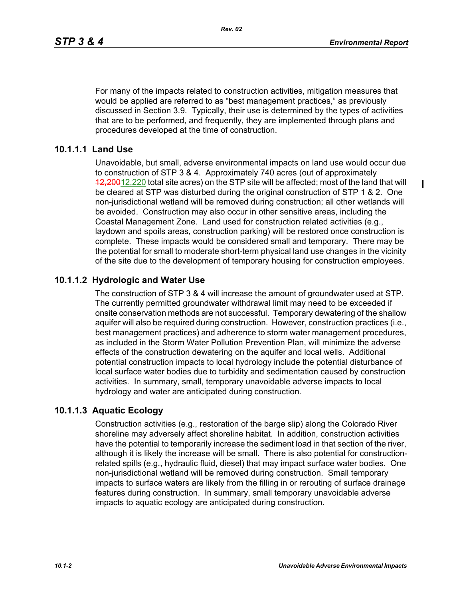$\blacksquare$ 

For many of the impacts related to construction activities, mitigation measures that would be applied are referred to as "best management practices," as previously discussed in Section 3.9. Typically, their use is determined by the types of activities that are to be performed, and frequently, they are implemented through plans and procedures developed at the time of construction.

### **10.1.1.1 Land Use**

Unavoidable, but small, adverse environmental impacts on land use would occur due to construction of STP 3 & 4. Approximately 740 acres (out of approximately 12,20012,220 total site acres) on the STP site will be affected; most of the land that will be cleared at STP was disturbed during the original construction of STP 1 & 2. One non-jurisdictional wetland will be removed during construction; all other wetlands will be avoided. Construction may also occur in other sensitive areas, including the Coastal Management Zone. Land used for construction related activities (e.g., laydown and spoils areas, construction parking) will be restored once construction is complete. These impacts would be considered small and temporary. There may be the potential for small to moderate short-term physical land use changes in the vicinity of the site due to the development of temporary housing for construction employees.

# **10.1.1.2 Hydrologic and Water Use**

The construction of STP 3 & 4 will increase the amount of groundwater used at STP. The currently permitted groundwater withdrawal limit may need to be exceeded if onsite conservation methods are not successful. Temporary dewatering of the shallow aquifer will also be required during construction. However, construction practices (i.e., best management practices) and adherence to storm water management procedures, as included in the Storm Water Pollution Prevention Plan, will minimize the adverse effects of the construction dewatering on the aquifer and local wells. Additional potential construction impacts to local hydrology include the potential disturbance of local surface water bodies due to turbidity and sedimentation caused by construction activities. In summary, small, temporary unavoidable adverse impacts to local hydrology and water are anticipated during construction.

# **10.1.1.3 Aquatic Ecology**

Construction activities (e.g., restoration of the barge slip) along the Colorado River shoreline may adversely affect shoreline habitat. In addition, construction activities have the potential to temporarily increase the sediment load in that section of the river, although it is likely the increase will be small. There is also potential for constructionrelated spills (e.g., hydraulic fluid, diesel) that may impact surface water bodies. One non-jurisdictional wetland will be removed during construction. Small temporary impacts to surface waters are likely from the filling in or rerouting of surface drainage features during construction. In summary, small temporary unavoidable adverse impacts to aquatic ecology are anticipated during construction.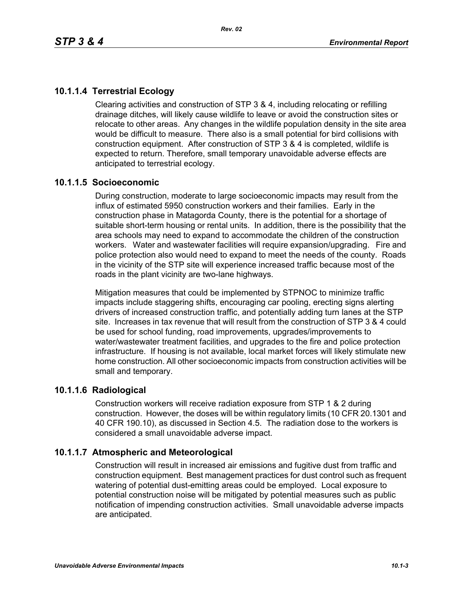# **10.1.1.4 Terrestrial Ecology**

Clearing activities and construction of STP 3 & 4, including relocating or refilling drainage ditches, will likely cause wildlife to leave or avoid the construction sites or relocate to other areas. Any changes in the wildlife population density in the site area would be difficult to measure. There also is a small potential for bird collisions with construction equipment. After construction of STP 3 & 4 is completed, wildlife is expected to return. Therefore, small temporary unavoidable adverse effects are anticipated to terrestrial ecology.

### **10.1.1.5 Socioeconomic**

During construction, moderate to large socioeconomic impacts may result from the influx of estimated 5950 construction workers and their families. Early in the construction phase in Matagorda County, there is the potential for a shortage of suitable short-term housing or rental units. In addition, there is the possibility that the area schools may need to expand to accommodate the children of the construction workers. Water and wastewater facilities will require expansion/upgrading. Fire and police protection also would need to expand to meet the needs of the county. Roads in the vicinity of the STP site will experience increased traffic because most of the roads in the plant vicinity are two-lane highways.

Mitigation measures that could be implemented by STPNOC to minimize traffic impacts include staggering shifts, encouraging car pooling, erecting signs alerting drivers of increased construction traffic, and potentially adding turn lanes at the STP site. Increases in tax revenue that will result from the construction of STP 3 & 4 could be used for school funding, road improvements, upgrades/improvements to water/wastewater treatment facilities, and upgrades to the fire and police protection infrastructure. If housing is not available, local market forces will likely stimulate new home construction. All other socioeconomic impacts from construction activities will be small and temporary.

### **10.1.1.6 Radiological**

Construction workers will receive radiation exposure from STP 1 & 2 during construction. However, the doses will be within regulatory limits (10 CFR 20.1301 and 40 CFR 190.10), as discussed in Section 4.5. The radiation dose to the workers is considered a small unavoidable adverse impact.

# **10.1.1.7 Atmospheric and Meteorological**

Construction will result in increased air emissions and fugitive dust from traffic and construction equipment. Best management practices for dust control such as frequent watering of potential dust-emitting areas could be employed. Local exposure to potential construction noise will be mitigated by potential measures such as public notification of impending construction activities. Small unavoidable adverse impacts are anticipated.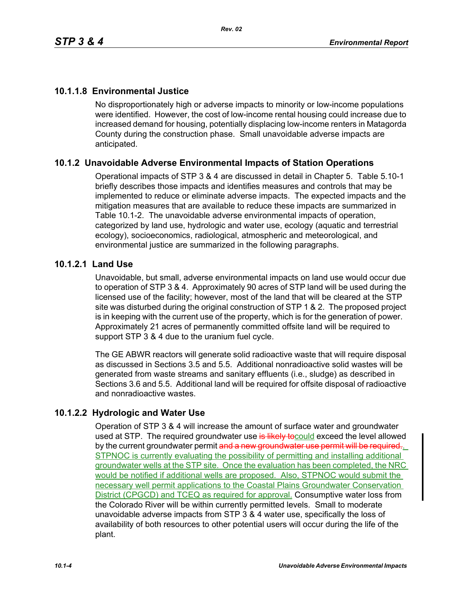# **10.1.1.8 Environmental Justice**

No disproportionately high or adverse impacts to minority or low-income populations were identified. However, the cost of low-income rental housing could increase due to increased demand for housing, potentially displacing low-income renters in Matagorda County during the construction phase. Small unavoidable adverse impacts are anticipated.

# **10.1.2 Unavoidable Adverse Environmental Impacts of Station Operations**

Operational impacts of STP 3 & 4 are discussed in detail in Chapter 5. Table 5.10-1 briefly describes those impacts and identifies measures and controls that may be implemented to reduce or eliminate adverse impacts. The expected impacts and the mitigation measures that are available to reduce these impacts are summarized in Table 10.1-2. The unavoidable adverse environmental impacts of operation, categorized by land use, hydrologic and water use, ecology (aquatic and terrestrial ecology), socioeconomics, radiological, atmospheric and meteorological, and environmental justice are summarized in the following paragraphs.

### **10.1.2.1 Land Use**

Unavoidable, but small, adverse environmental impacts on land use would occur due to operation of STP 3 & 4. Approximately 90 acres of STP land will be used during the licensed use of the facility; however, most of the land that will be cleared at the STP site was disturbed during the original construction of STP 1 & 2. The proposed project is in keeping with the current use of the property, which is for the generation of power. Approximately 21 acres of permanently committed offsite land will be required to support STP 3 & 4 due to the uranium fuel cycle.

The GE ABWR reactors will generate solid radioactive waste that will require disposal as discussed in Sections 3.5 and 5.5. Additional nonradioactive solid wastes will be generated from waste streams and sanitary effluents (i.e., sludge) as described in Sections 3.6 and 5.5. Additional land will be required for offsite disposal of radioactive and nonradioactive wastes.

# **10.1.2.2 Hydrologic and Water Use**

Operation of STP 3 & 4 will increase the amount of surface water and groundwater used at STP. The required groundwater use is likely to could exceed the level allowed by the current groundwater permit and a new groundwater use permit will be required. STPNOC is currently evaluating the possibility of permitting and installing additional groundwater wells at the STP site. Once the evaluation has been completed, the NRC would be notified if additional wells are proposed. Also, STPNOC would submit the necessary well permit applications to the Coastal Plains Groundwater Conservation District (CPGCD) and TCEQ as required for approval. Consumptive water loss from the Colorado River will be within currently permitted levels. Small to moderate unavoidable adverse impacts from STP 3 & 4 water use, specifically the loss of availability of both resources to other potential users will occur during the life of the plant.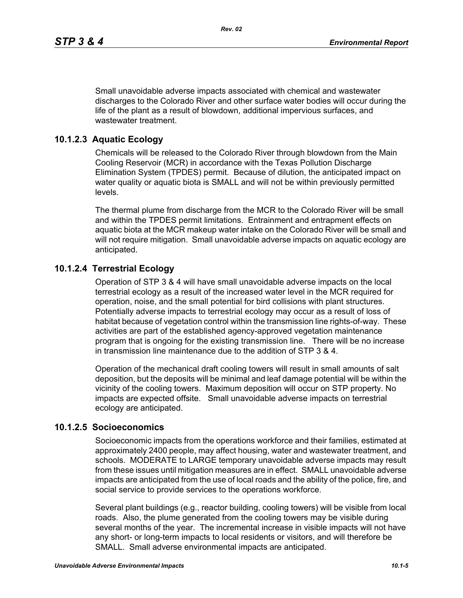Small unavoidable adverse impacts associated with chemical and wastewater discharges to the Colorado River and other surface water bodies will occur during the life of the plant as a result of blowdown, additional impervious surfaces, and wastewater treatment.

### **10.1.2.3 Aquatic Ecology**

Chemicals will be released to the Colorado River through blowdown from the Main Cooling Reservoir (MCR) in accordance with the Texas Pollution Discharge Elimination System (TPDES) permit. Because of dilution, the anticipated impact on water quality or aquatic biota is SMALL and will not be within previously permitted levels.

The thermal plume from discharge from the MCR to the Colorado River will be small and within the TPDES permit limitations. Entrainment and entrapment effects on aquatic biota at the MCR makeup water intake on the Colorado River will be small and will not require mitigation. Small unavoidable adverse impacts on aquatic ecology are anticipated.

### **10.1.2.4 Terrestrial Ecology**

Operation of STP 3 & 4 will have small unavoidable adverse impacts on the local terrestrial ecology as a result of the increased water level in the MCR required for operation, noise, and the small potential for bird collisions with plant structures. Potentially adverse impacts to terrestrial ecology may occur as a result of loss of habitat because of vegetation control within the transmission line rights-of-way. These activities are part of the established agency-approved vegetation maintenance program that is ongoing for the existing transmission line. There will be no increase in transmission line maintenance due to the addition of STP 3 & 4.

Operation of the mechanical draft cooling towers will result in small amounts of salt deposition, but the deposits will be minimal and leaf damage potential will be within the vicinity of the cooling towers. Maximum deposition will occur on STP property. No impacts are expected offsite. Small unavoidable adverse impacts on terrestrial ecology are anticipated.

### **10.1.2.5 Socioeconomics**

Socioeconomic impacts from the operations workforce and their families, estimated at approximately 2400 people, may affect housing, water and wastewater treatment, and schools. MODERATE to LARGE temporary unavoidable adverse impacts may result from these issues until mitigation measures are in effect. SMALL unavoidable adverse impacts are anticipated from the use of local roads and the ability of the police, fire, and social service to provide services to the operations workforce.

Several plant buildings (e.g., reactor building, cooling towers) will be visible from local roads. Also, the plume generated from the cooling towers may be visible during several months of the year. The incremental increase in visible impacts will not have any short- or long-term impacts to local residents or visitors, and will therefore be SMALL. Small adverse environmental impacts are anticipated.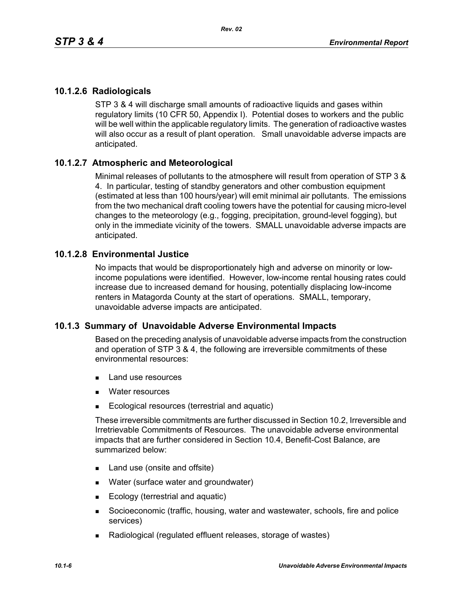# **10.1.2.6 Radiologicals**

STP 3 & 4 will discharge small amounts of radioactive liquids and gases within regulatory limits (10 CFR 50, Appendix I). Potential doses to workers and the public will be well within the applicable regulatory limits. The generation of radioactive wastes will also occur as a result of plant operation. Small unavoidable adverse impacts are anticipated.

# **10.1.2.7 Atmospheric and Meteorological**

Minimal releases of pollutants to the atmosphere will result from operation of STP 3 & 4. In particular, testing of standby generators and other combustion equipment (estimated at less than 100 hours/year) will emit minimal air pollutants. The emissions from the two mechanical draft cooling towers have the potential for causing micro-level changes to the meteorology (e.g., fogging, precipitation, ground-level fogging), but only in the immediate vicinity of the towers. SMALL unavoidable adverse impacts are anticipated.

# **10.1.2.8 Environmental Justice**

No impacts that would be disproportionately high and adverse on minority or lowincome populations were identified. However, low-income rental housing rates could increase due to increased demand for housing, potentially displacing low-income renters in Matagorda County at the start of operations. SMALL, temporary, unavoidable adverse impacts are anticipated.

# **10.1.3 Summary of Unavoidable Adverse Environmental Impacts**

Based on the preceding analysis of unavoidable adverse impacts from the construction and operation of STP 3 & 4, the following are irreversible commitments of these environmental resources:

- **Land use resources**
- **Nater resources**
- Ecological resources (terrestrial and aquatic)

These irreversible commitments are further discussed in Section 10.2, Irreversible and Irretrievable Commitments of Resources. The unavoidable adverse environmental impacts that are further considered in Section 10.4, Benefit-Cost Balance, are summarized below:

- Land use (onsite and offsite)
- **Nater (surface water and groundwater)**
- Ecology (terrestrial and aquatic)
- Socioeconomic (traffic, housing, water and wastewater, schools, fire and police services)
- Radiological (regulated effluent releases, storage of wastes)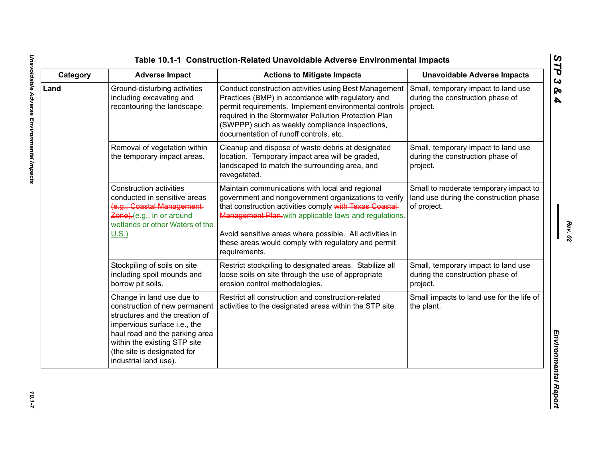| Category | <b>Adverse Impact</b>                                                                                                                                                                                                                                  | <b>Actions to Mitigate Impacts</b>                                                                                                                                                                                                                                                                                                                             | <b>Unavoidable Adverse Impacts</b>                                                             |
|----------|--------------------------------------------------------------------------------------------------------------------------------------------------------------------------------------------------------------------------------------------------------|----------------------------------------------------------------------------------------------------------------------------------------------------------------------------------------------------------------------------------------------------------------------------------------------------------------------------------------------------------------|------------------------------------------------------------------------------------------------|
| Land     | Ground-disturbing activities<br>including excavating and<br>recontouring the landscape.                                                                                                                                                                | Conduct construction activities using Best Management<br>Practices (BMP) in accordance with regulatory and<br>permit requirements. Implement environmental controls<br>required in the Stormwater Pollution Protection Plan<br>(SWPPP) such as weekly compliance inspections,<br>documentation of runoff controls, etc.                                        | Small, temporary impact to land use<br>during the construction phase of<br>project.            |
|          | Removal of vegetation within<br>the temporary impact areas.                                                                                                                                                                                            | Cleanup and dispose of waste debris at designated<br>location. Temporary impact area will be graded,<br>landscaped to match the surrounding area, and<br>revegetated.                                                                                                                                                                                          | Small, temporary impact to land use<br>during the construction phase of<br>project.            |
|          | <b>Construction activities</b><br>conducted in sensitive areas<br>(e.g., Coastal Management-<br>Zone).(e.g., in or around<br>wetlands or other Waters of the<br>$U.S.$ )                                                                               | Maintain communications with local and regional<br>government and nongovernment organizations to verify<br>that construction activities comply with Texas Coastal-<br>Management Plan-with applicable laws and regulations.<br>Avoid sensitive areas where possible. All activities in<br>these areas would comply with regulatory and permit<br>requirements. | Small to moderate temporary impact to<br>land use during the construction phase<br>of project. |
|          | Stockpiling of soils on site<br>including spoil mounds and<br>borrow pit soils.                                                                                                                                                                        | Restrict stockpiling to designated areas. Stabilize all<br>loose soils on site through the use of appropriate<br>erosion control methodologies.                                                                                                                                                                                                                | Small, temporary impact to land use<br>during the construction phase of<br>project.            |
|          | Change in land use due to<br>construction of new permanent<br>structures and the creation of<br>impervious surface i.e., the<br>haul road and the parking area<br>within the existing STP site<br>(the site is designated for<br>industrial land use). | Restrict all construction and construction-related<br>activities to the designated areas within the STP site.                                                                                                                                                                                                                                                  | Small impacts to land use for the life of<br>the plant.                                        |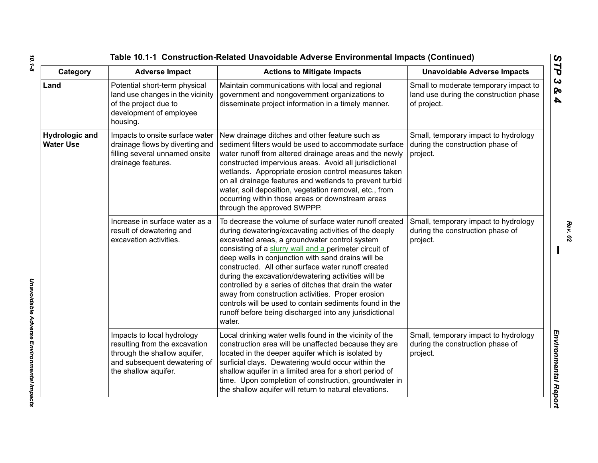| Table 10.1-1 Construction-Related Unavoidable Adverse Environmental Impacts (Continued) |                                                                                                                                                     |                                                                                                                                                                                                                                                                                                                                                                                                                                                                                                                                                                                                                                              |                                                                                                |
|-----------------------------------------------------------------------------------------|-----------------------------------------------------------------------------------------------------------------------------------------------------|----------------------------------------------------------------------------------------------------------------------------------------------------------------------------------------------------------------------------------------------------------------------------------------------------------------------------------------------------------------------------------------------------------------------------------------------------------------------------------------------------------------------------------------------------------------------------------------------------------------------------------------------|------------------------------------------------------------------------------------------------|
| Category                                                                                | <b>Adverse Impact</b>                                                                                                                               | <b>Actions to Mitigate Impacts</b>                                                                                                                                                                                                                                                                                                                                                                                                                                                                                                                                                                                                           | <b>Unavoidable Adverse Impacts</b>                                                             |
| Land                                                                                    | Potential short-term physical<br>land use changes in the vicinity<br>of the project due to<br>development of employee<br>housing.                   | Maintain communications with local and regional<br>government and nongovernment organizations to<br>disseminate project information in a timely manner.                                                                                                                                                                                                                                                                                                                                                                                                                                                                                      | Small to moderate temporary impact to<br>land use during the construction phase<br>of project. |
| <b>Hydrologic and</b><br><b>Water Use</b>                                               | Impacts to onsite surface water<br>drainage flows by diverting and<br>filling several unnamed onsite<br>drainage features.                          | New drainage ditches and other feature such as<br>sediment filters would be used to accommodate surface<br>water runoff from altered drainage areas and the newly<br>constructed impervious areas. Avoid all jurisdictional<br>wetlands. Appropriate erosion control measures taken<br>on all drainage features and wetlands to prevent turbid<br>water, soil deposition, vegetation removal, etc., from<br>occurring within those areas or downstream areas<br>through the approved SWPPP.                                                                                                                                                  | Small, temporary impact to hydrology<br>during the construction phase of<br>project.           |
|                                                                                         | Increase in surface water as a<br>result of dewatering and<br>excavation activities.                                                                | To decrease the volume of surface water runoff created<br>during dewatering/excavating activities of the deeply<br>excavated areas, a groundwater control system<br>consisting of a slurry wall and a perimeter circuit of<br>deep wells in conjunction with sand drains will be<br>constructed. All other surface water runoff created<br>during the excavation/dewatering activities will be<br>controlled by a series of ditches that drain the water<br>away from construction activities. Proper erosion<br>controls will be used to contain sediments found in the<br>runoff before being discharged into any jurisdictional<br>water. | Small, temporary impact to hydrology<br>during the construction phase of<br>project.           |
|                                                                                         | Impacts to local hydrology<br>resulting from the excavation<br>through the shallow aquifer,<br>and subsequent dewatering of<br>the shallow aquifer. | Local drinking water wells found in the vicinity of the<br>construction area will be unaffected because they are<br>located in the deeper aquifer which is isolated by<br>surficial clays. Dewatering would occur within the<br>shallow aquifer in a limited area for a short period of<br>time. Upon completion of construction, groundwater in<br>the shallow aquifer will return to natural elevations.                                                                                                                                                                                                                                   | Small, temporary impact to hydrology<br>during the construction phase of<br>project.           |

*Unavoidable Adverse Environmental Impacts* 

Unavoidable Adverse Environmental Impacts

*Rev. 02*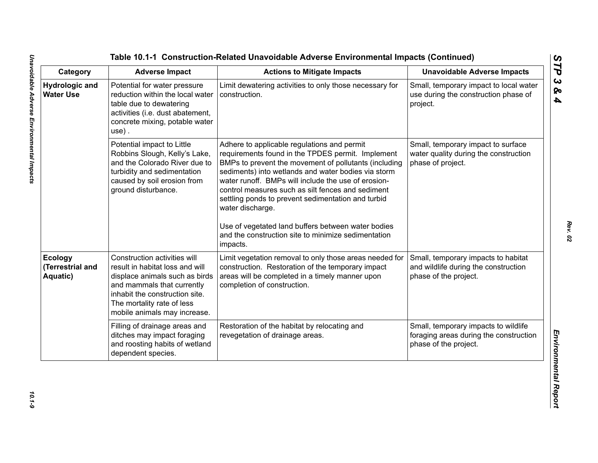| Category                                       | <b>Adverse Impact</b>                                                                                                                                                                                                           | <b>Actions to Mitigate Impacts</b>                                                                                                                                                                                                                                                                                                                                                                                                                                                                                              | <b>Unavoidable Adverse Impacts</b>                                                                      |
|------------------------------------------------|---------------------------------------------------------------------------------------------------------------------------------------------------------------------------------------------------------------------------------|---------------------------------------------------------------------------------------------------------------------------------------------------------------------------------------------------------------------------------------------------------------------------------------------------------------------------------------------------------------------------------------------------------------------------------------------------------------------------------------------------------------------------------|---------------------------------------------------------------------------------------------------------|
| <b>Hydrologic and</b><br><b>Water Use</b>      | Potential for water pressure<br>reduction within the local water<br>table due to dewatering<br>activities (i.e. dust abatement,<br>concrete mixing, potable water<br>use).                                                      | Limit dewatering activities to only those necessary for<br>construction.                                                                                                                                                                                                                                                                                                                                                                                                                                                        | Small, temporary impact to local water<br>use during the construction phase of<br>project.              |
|                                                | Potential impact to Little<br>Robbins Slough, Kelly's Lake,<br>and the Colorado River due to<br>turbidity and sedimentation<br>caused by soil erosion from<br>ground disturbance.                                               | Adhere to applicable regulations and permit<br>requirements found in the TPDES permit. Implement<br>BMPs to prevent the movement of pollutants (including<br>sediments) into wetlands and water bodies via storm<br>water runoff. BMPs will include the use of erosion-<br>control measures such as silt fences and sediment<br>settling ponds to prevent sedimentation and turbid<br>water discharge.<br>Use of vegetated land buffers between water bodies<br>and the construction site to minimize sedimentation<br>impacts. | Small, temporary impact to surface<br>water quality during the construction<br>phase of project.        |
| <b>Ecology</b><br>(Terrestrial and<br>Aquatic) | Construction activities will<br>result in habitat loss and will<br>displace animals such as birds<br>and mammals that currently<br>inhabit the construction site.<br>The mortality rate of less<br>mobile animals may increase. | Limit vegetation removal to only those areas needed for<br>construction. Restoration of the temporary impact<br>areas will be completed in a timely manner upon<br>completion of construction.                                                                                                                                                                                                                                                                                                                                  | Small, temporary impacts to habitat<br>and wildlife during the construction<br>phase of the project.    |
|                                                | Filling of drainage areas and<br>ditches may impact foraging<br>and roosting habits of wetland<br>dependent species.                                                                                                            | Restoration of the habitat by relocating and<br>revegetation of drainage areas.                                                                                                                                                                                                                                                                                                                                                                                                                                                 | Small, temporary impacts to wildlife<br>foraging areas during the construction<br>phase of the project. |

 $10.1 - 9$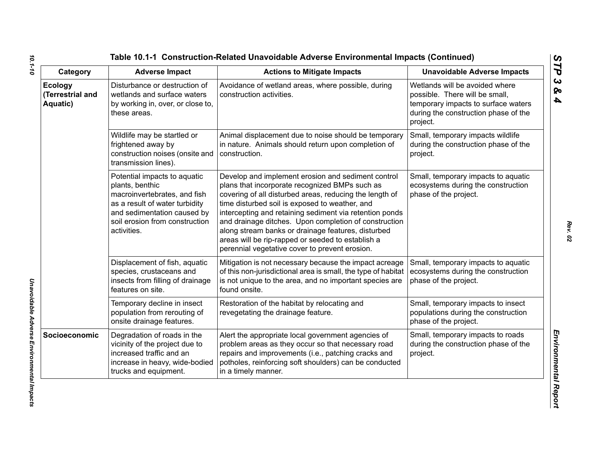| Category                                       | <b>Adverse Impact</b>                                                                                                                                                                             | <b>Actions to Mitigate Impacts</b>                                                                                                                                                                                                                                                                                                                                                                                                                                                                 | <b>Unavoidable Adverse Impacts</b>                                                                                                                          |
|------------------------------------------------|---------------------------------------------------------------------------------------------------------------------------------------------------------------------------------------------------|----------------------------------------------------------------------------------------------------------------------------------------------------------------------------------------------------------------------------------------------------------------------------------------------------------------------------------------------------------------------------------------------------------------------------------------------------------------------------------------------------|-------------------------------------------------------------------------------------------------------------------------------------------------------------|
| <b>Ecology</b><br>(Terrestrial and<br>Aquatic) | Disturbance or destruction of<br>wetlands and surface waters<br>by working in, over, or close to,<br>these areas.                                                                                 | Avoidance of wetland areas, where possible, during<br>construction activities.                                                                                                                                                                                                                                                                                                                                                                                                                     | Wetlands will be avoided where<br>possible. There will be small,<br>temporary impacts to surface waters<br>during the construction phase of the<br>project. |
|                                                | Wildlife may be startled or<br>frightened away by<br>construction noises (onsite and<br>transmission lines).                                                                                      | Animal displacement due to noise should be temporary<br>in nature. Animals should return upon completion of<br>construction.                                                                                                                                                                                                                                                                                                                                                                       | Small, temporary impacts wildlife<br>during the construction phase of the<br>project.                                                                       |
|                                                | Potential impacts to aquatic<br>plants, benthic<br>macroinvertebrates, and fish<br>as a result of water turbidity<br>and sedimentation caused by<br>soil erosion from construction<br>activities. | Develop and implement erosion and sediment control<br>plans that incorporate recognized BMPs such as<br>covering of all disturbed areas, reducing the length of<br>time disturbed soil is exposed to weather, and<br>intercepting and retaining sediment via retention ponds<br>and drainage ditches. Upon completion of construction<br>along stream banks or drainage features, disturbed<br>areas will be rip-rapped or seeded to establish a<br>perennial vegetative cover to prevent erosion. | Small, temporary impacts to aquatic<br>ecosystems during the construction<br>phase of the project.                                                          |
|                                                | Displacement of fish, aquatic<br>species, crustaceans and<br>insects from filling of drainage<br>features on site.                                                                                | Mitigation is not necessary because the impact acreage<br>of this non-jurisdictional area is small, the type of habitat<br>is not unique to the area, and no important species are<br>found onsite.                                                                                                                                                                                                                                                                                                | Small, temporary impacts to aquatic<br>ecosystems during the construction<br>phase of the project.                                                          |
|                                                | Temporary decline in insect<br>population from rerouting of<br>onsite drainage features.                                                                                                          | Restoration of the habitat by relocating and<br>revegetating the drainage feature.                                                                                                                                                                                                                                                                                                                                                                                                                 | Small, temporary impacts to insect<br>populations during the construction<br>phase of the project.                                                          |
| Socioeconomic                                  | Degradation of roads in the<br>vicinity of the project due to<br>increased traffic and an<br>increase in heavy, wide-bodied<br>trucks and equipment.                                              | Alert the appropriate local government agencies of<br>problem areas as they occur so that necessary road<br>repairs and improvements (i.e., patching cracks and<br>potholes, reinforcing soft shoulders) can be conducted<br>in a timely manner.                                                                                                                                                                                                                                                   | Small, temporary impacts to roads<br>during the construction phase of the<br>project.                                                                       |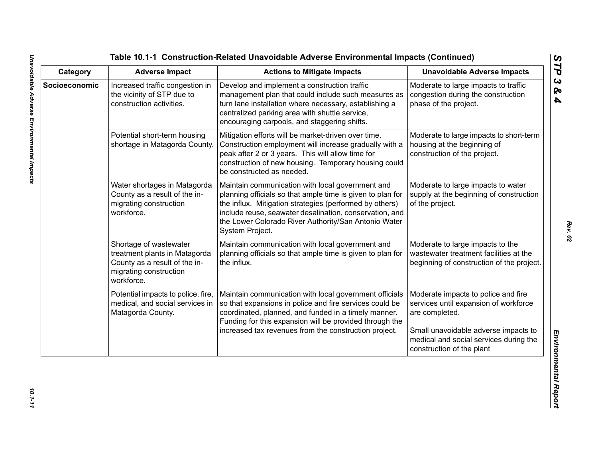| Category      | <b>Adverse Impact</b>                                                                                                            | <b>Actions to Mitigate Impacts</b>                                                                                                                                                                                                                                                                              | <b>Unavoidable Adverse Impacts</b>                                                                                                                                                                            |
|---------------|----------------------------------------------------------------------------------------------------------------------------------|-----------------------------------------------------------------------------------------------------------------------------------------------------------------------------------------------------------------------------------------------------------------------------------------------------------------|---------------------------------------------------------------------------------------------------------------------------------------------------------------------------------------------------------------|
| Socioeconomic | Increased traffic congestion in<br>the vicinity of STP due to<br>construction activities.                                        | Develop and implement a construction traffic<br>management plan that could include such measures as<br>turn lane installation where necessary, establishing a<br>centralized parking area with shuttle service,<br>encouraging carpools, and staggering shifts.                                                 | Moderate to large impacts to traffic<br>congestion during the construction<br>phase of the project.                                                                                                           |
|               | Potential short-term housing<br>shortage in Matagorda County.                                                                    | Mitigation efforts will be market-driven over time.<br>Construction employment will increase gradually with a<br>peak after 2 or 3 years. This will allow time for<br>construction of new housing. Temporary housing could<br>be constructed as needed.                                                         | Moderate to large impacts to short-term<br>housing at the beginning of<br>construction of the project.                                                                                                        |
|               | Water shortages in Matagorda<br>County as a result of the in-<br>migrating construction<br>workforce.                            | Maintain communication with local government and<br>planning officials so that ample time is given to plan for<br>the influx. Mitigation strategies (performed by others)<br>include reuse, seawater desalination, conservation, and<br>the Lower Colorado River Authority/San Antonio Water<br>System Project. | Moderate to large impacts to water<br>supply at the beginning of construction<br>of the project.                                                                                                              |
|               | Shortage of wastewater<br>treatment plants in Matagorda<br>County as a result of the in-<br>migrating construction<br>workforce. | Maintain communication with local government and<br>planning officials so that ample time is given to plan for<br>the influx.                                                                                                                                                                                   | Moderate to large impacts to the<br>wastewater treatment facilities at the<br>beginning of construction of the project.                                                                                       |
|               | Potential impacts to police, fire,<br>medical, and social services in<br>Matagorda County.                                       | Maintain communication with local government officials<br>so that expansions in police and fire services could be<br>coordinated, planned, and funded in a timely manner.<br>Funding for this expansion will be provided through the<br>increased tax revenues from the construction project.                   | Moderate impacts to police and fire<br>services until expansion of workforce<br>are completed.<br>Small unavoidable adverse impacts to<br>medical and social services during the<br>construction of the plant |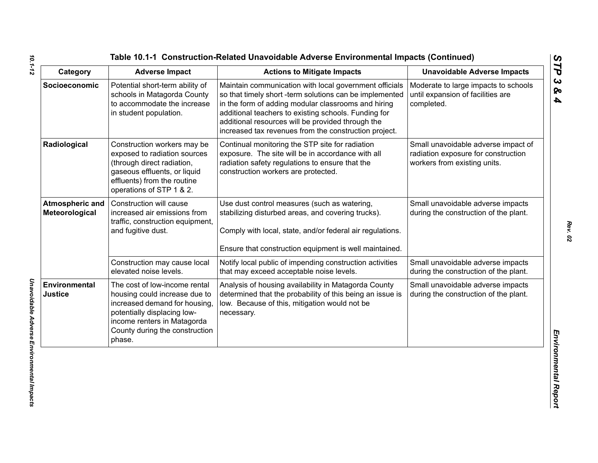| Table 10.1-1 Construction-Related Unavoidable Adverse Environmental Impacts (Continued |  |
|----------------------------------------------------------------------------------------|--|
|----------------------------------------------------------------------------------------|--|

| Category                          | <b>Adverse Impact</b>                                                                                                                                                                                    | <b>Actions to Mitigate Impacts</b>                                                                                                                                                                                                                                                                                                             | <b>Unavoidable Adverse Impacts</b>                                                                         |
|-----------------------------------|----------------------------------------------------------------------------------------------------------------------------------------------------------------------------------------------------------|------------------------------------------------------------------------------------------------------------------------------------------------------------------------------------------------------------------------------------------------------------------------------------------------------------------------------------------------|------------------------------------------------------------------------------------------------------------|
| Socioeconomic                     | Potential short-term ability of<br>schools in Matagorda County<br>to accommodate the increase<br>in student population.                                                                                  | Maintain communication with local government officials<br>so that timely short -term solutions can be implemented<br>in the form of adding modular classrooms and hiring<br>additional teachers to existing schools. Funding for<br>additional resources will be provided through the<br>increased tax revenues from the construction project. | Moderate to large impacts to schools<br>until expansion of facilities are<br>completed.                    |
| Radiological                      | Construction workers may be<br>exposed to radiation sources<br>(through direct radiation,<br>gaseous effluents, or liquid<br>effluents) from the routine<br>operations of STP 1 & 2.                     | Continual monitoring the STP site for radiation<br>exposure. The site will be in accordance with all<br>radiation safety regulations to ensure that the<br>construction workers are protected.                                                                                                                                                 | Small unavoidable adverse impact of<br>radiation exposure for construction<br>workers from existing units. |
| Atmospheric and<br>Meteorological | Construction will cause<br>increased air emissions from<br>traffic, construction equipment,<br>and fugitive dust.                                                                                        | Use dust control measures (such as watering,<br>stabilizing disturbed areas, and covering trucks).<br>Comply with local, state, and/or federal air regulations.<br>Ensure that construction equipment is well maintained.                                                                                                                      | Small unavoidable adverse impacts<br>during the construction of the plant.                                 |
|                                   | Construction may cause local<br>elevated noise levels.                                                                                                                                                   | Notify local public of impending construction activities<br>that may exceed acceptable noise levels.                                                                                                                                                                                                                                           | Small unavoidable adverse impacts<br>during the construction of the plant.                                 |
| Environmental<br>Justice          | The cost of low-income rental<br>housing could increase due to<br>increased demand for housing<br>potentially displacing low-<br>income renters in Matagorda<br>County during the construction<br>phase. | Analysis of housing availability in Matagorda County<br>determined that the probability of this being an issue is<br>low. Because of this, mitigation would not be<br>necessary.                                                                                                                                                               | Small unavoidable adverse impacts<br>during the construction of the plant.                                 |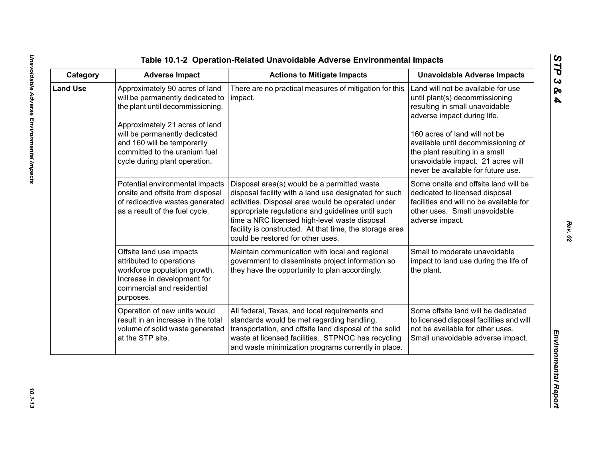| ທ |
|---|
|   |
| C |
| ట |
| ∞ |
| 4 |

| Category        | <b>Adverse Impact</b>                                                                                                                                                                                                                                                      | <b>Actions to Mitigate Impacts</b>                                                                                                                                                                                                                                                                                                                              | <b>Unavoidable Adverse Impacts</b>                                                                                                                                                                                                                                                                                        |
|-----------------|----------------------------------------------------------------------------------------------------------------------------------------------------------------------------------------------------------------------------------------------------------------------------|-----------------------------------------------------------------------------------------------------------------------------------------------------------------------------------------------------------------------------------------------------------------------------------------------------------------------------------------------------------------|---------------------------------------------------------------------------------------------------------------------------------------------------------------------------------------------------------------------------------------------------------------------------------------------------------------------------|
| <b>Land Use</b> | Approximately 90 acres of land<br>will be permanently dedicated to<br>the plant until decommissioning.<br>Approximately 21 acres of land<br>will be permanently dedicated<br>and 160 will be temporarily<br>committed to the uranium fuel<br>cycle during plant operation. | There are no practical measures of mitigation for this<br>impact.                                                                                                                                                                                                                                                                                               | Land will not be available for use<br>until plant(s) decommissioning<br>resulting in small unavoidable<br>adverse impact during life.<br>160 acres of land will not be<br>available until decommissioning of<br>the plant resulting in a small<br>unavoidable impact. 21 acres will<br>never be available for future use. |
|                 | Potential environmental impacts<br>onsite and offsite from disposal<br>of radioactive wastes generated<br>as a result of the fuel cycle.                                                                                                                                   | Disposal area(s) would be a permitted waste<br>disposal facility with a land use designated for such<br>activities. Disposal area would be operated under<br>appropriate regulations and guidelines until such<br>time a NRC licensed high-level waste disposal<br>facility is constructed. At that time, the storage area<br>could be restored for other uses. | Some onsite and offsite land will be<br>dedicated to licensed disposal<br>facilities and will no be available for<br>other uses. Small unavoidable<br>adverse impact.                                                                                                                                                     |
|                 | Offsite land use impacts<br>attributed to operations<br>workforce population growth.<br>Increase in development for<br>commercial and residential<br>purposes.                                                                                                             | Maintain communication with local and regional<br>government to disseminate project information so<br>they have the opportunity to plan accordingly.                                                                                                                                                                                                            | Small to moderate unavoidable<br>impact to land use during the life of<br>the plant.                                                                                                                                                                                                                                      |
|                 | Operation of new units would<br>result in an increase in the total<br>volume of solid waste generated<br>at the STP site.                                                                                                                                                  | All federal, Texas, and local requirements and<br>standards would be met regarding handling,<br>transportation, and offsite land disposal of the solid<br>waste at licensed facilities. STPNOC has recycling<br>and waste minimization programs currently in place.                                                                                             | Some offsite land will be dedicated<br>to licensed disposal facilities and will<br>not be available for other uses.<br>Small unavoidable adverse impact.                                                                                                                                                                  |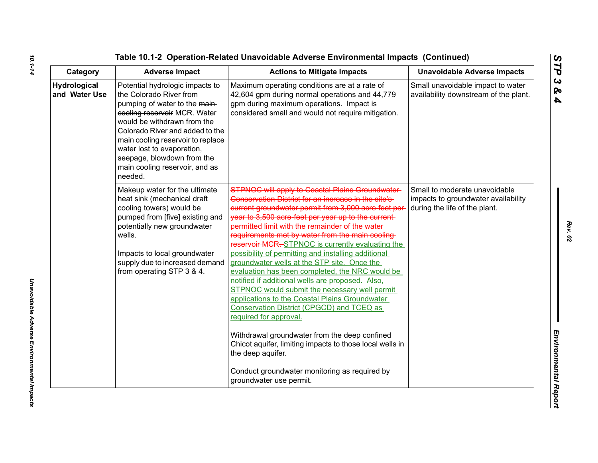| Category                      | <b>Adverse Impact</b>                                                                                                                                                                                                                                                                                                                       | <b>Actions to Mitigate Impacts</b>                                                                                                                                                                                                                                                                                                                                                                                                                                                                                                                                                                                                                                                                                                                                                                                                                                                                                                                                                             | <b>Unavoidable Adverse Impacts</b>                                                                    |
|-------------------------------|---------------------------------------------------------------------------------------------------------------------------------------------------------------------------------------------------------------------------------------------------------------------------------------------------------------------------------------------|------------------------------------------------------------------------------------------------------------------------------------------------------------------------------------------------------------------------------------------------------------------------------------------------------------------------------------------------------------------------------------------------------------------------------------------------------------------------------------------------------------------------------------------------------------------------------------------------------------------------------------------------------------------------------------------------------------------------------------------------------------------------------------------------------------------------------------------------------------------------------------------------------------------------------------------------------------------------------------------------|-------------------------------------------------------------------------------------------------------|
| Hydrological<br>and Water Use | Potential hydrologic impacts to<br>the Colorado River from<br>pumping of water to the main-<br>cooling reservoir MCR. Water<br>would be withdrawn from the<br>Colorado River and added to the<br>main cooling reservoir to replace<br>water lost to evaporation,<br>seepage, blowdown from the<br>main cooling reservoir, and as<br>needed. | Maximum operating conditions are at a rate of<br>42,604 gpm during normal operations and 44,779<br>gpm during maximum operations. Impact is<br>considered small and would not require mitigation.                                                                                                                                                                                                                                                                                                                                                                                                                                                                                                                                                                                                                                                                                                                                                                                              | Small unavoidable impact to water<br>availability downstream of the plant.                            |
|                               | Makeup water for the ultimate<br>heat sink (mechanical draft<br>cooling towers) would be<br>pumped from [five] existing and<br>potentially new groundwater<br>wells.<br>Impacts to local groundwater<br>supply due to increased demand<br>from operating STP 3 & 4.                                                                         | <b>STPNOC will apply to Coastal Plains Groundwater-</b><br>Conservation District for an increase in the site's<br>current groundwater permit from 3,000 acre-feet per-<br>year to 3,500 acre-feet per year up to the current-<br>permitted limit with the remainder of the water-<br>requirements met by water from the main cooling<br>reservoir MCR.-STPNOC is currently evaluating the<br>possibility of permitting and installing additional<br>groundwater wells at the STP site. Once the<br>evaluation has been completed, the NRC would be<br>notified if additional wells are proposed. Also,<br>STPNOC would submit the necessary well permit<br>applications to the Coastal Plains Groundwater<br>Conservation District (CPGCD) and TCEQ as<br>required for approval.<br>Withdrawal groundwater from the deep confined<br>Chicot aquifer, limiting impacts to those local wells in<br>the deep aquifer.<br>Conduct groundwater monitoring as required by<br>groundwater use permit. | Small to moderate unavoidable<br>impacts to groundwater availability<br>during the life of the plant. |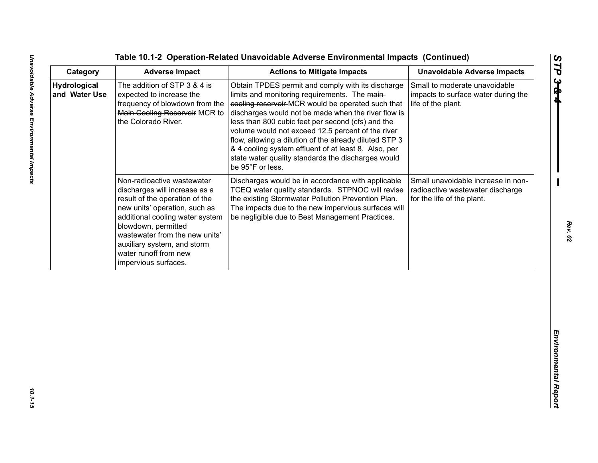| Category                             | <b>Adverse Impact</b>                                                                                                                                                                                                                                                                                      | <b>Actions to Mitigate Impacts</b>                                                                                                                                                                                                                                                                                                                                                                                                                                                                                   | <b>Unavoidable Adverse Impacts</b>                                                                   |
|--------------------------------------|------------------------------------------------------------------------------------------------------------------------------------------------------------------------------------------------------------------------------------------------------------------------------------------------------------|----------------------------------------------------------------------------------------------------------------------------------------------------------------------------------------------------------------------------------------------------------------------------------------------------------------------------------------------------------------------------------------------------------------------------------------------------------------------------------------------------------------------|------------------------------------------------------------------------------------------------------|
| <b>Hydrological</b><br>and Water Use | The addition of STP 3 & 4 is<br>expected to increase the<br>frequency of blowdown from the<br>Main Cooling Reservoir MCR to<br>the Colorado River.                                                                                                                                                         | Obtain TPDES permit and comply with its discharge<br>limits and monitoring requirements. The main-<br>cooling reservoir-MCR would be operated such that<br>discharges would not be made when the river flow is<br>less than 800 cubic feet per second (cfs) and the<br>volume would not exceed 12.5 percent of the river<br>flow, allowing a dilution of the already diluted STP 3<br>& 4 cooling system effluent of at least 8. Also, per<br>state water quality standards the discharges would<br>be 95°F or less. | Small to moderate unavoidable<br>impacts to surface water during the<br>life of the plant.           |
|                                      | Non-radioactive wastewater<br>discharges will increase as a<br>result of the operation of the<br>new units' operation, such as<br>additional cooling water system<br>blowdown, permitted<br>wastewater from the new units'<br>auxiliary system, and storm<br>water runoff from new<br>impervious surfaces. | Discharges would be in accordance with applicable<br>TCEQ water quality standards. STPNOC will revise<br>the existing Stormwater Pollution Prevention Plan.<br>The impacts due to the new impervious surfaces will<br>be negligible due to Best Management Practices.                                                                                                                                                                                                                                                | Small unavoidable increase in non-<br>radioactive wastewater discharge<br>for the life of the plant. |
|                                      |                                                                                                                                                                                                                                                                                                            |                                                                                                                                                                                                                                                                                                                                                                                                                                                                                                                      |                                                                                                      |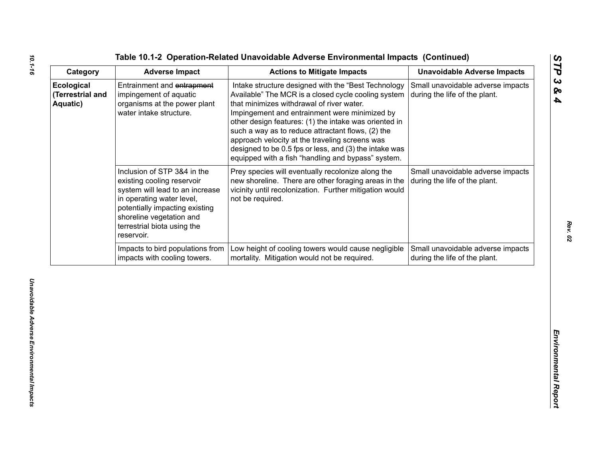|  |  |  | able 10.1-2 Operation-Related Unavoidable Adverse Environmental Impacts (Continued) |  |
|--|--|--|-------------------------------------------------------------------------------------|--|
|--|--|--|-------------------------------------------------------------------------------------|--|

| Small unavoidable adverse impacts<br>Ecological<br>Entrainment and entrapment<br>Intake structure designed with the "Best Technology<br>(Terrestrial and<br>impingement of aquatic<br>Available" The MCR is a closed cycle cooling system<br>during the life of the plant.<br>organisms at the power plant<br>Aquatic)<br>that minimizes withdrawal of river water.<br>water intake structure.<br>Impingement and entrainment were minimized by<br>other design features: (1) the intake was oriented in<br>such a way as to reduce attractant flows, (2) the<br>approach velocity at the traveling screens was<br>designed to be 0.5 fps or less, and (3) the intake was<br>equipped with a fish "handling and bypass" system.<br>Inclusion of STP 3&4 in the<br>Prey species will eventually recolonize along the<br>Small unavoidable adverse impacts<br>new shoreline. There are other foraging areas in the<br>existing cooling reservoir<br>during the life of the plant.<br>vicinity until recolonization. Further mitigation would<br>system will lead to an increase<br>in operating water level,<br>not be required.<br>potentially impacting existing<br>shoreline vegetation and<br>terrestrial biota using the |
|-----------------------------------------------------------------------------------------------------------------------------------------------------------------------------------------------------------------------------------------------------------------------------------------------------------------------------------------------------------------------------------------------------------------------------------------------------------------------------------------------------------------------------------------------------------------------------------------------------------------------------------------------------------------------------------------------------------------------------------------------------------------------------------------------------------------------------------------------------------------------------------------------------------------------------------------------------------------------------------------------------------------------------------------------------------------------------------------------------------------------------------------------------------------------------------------------------------------------------|
|                                                                                                                                                                                                                                                                                                                                                                                                                                                                                                                                                                                                                                                                                                                                                                                                                                                                                                                                                                                                                                                                                                                                                                                                                             |
| reservoir.                                                                                                                                                                                                                                                                                                                                                                                                                                                                                                                                                                                                                                                                                                                                                                                                                                                                                                                                                                                                                                                                                                                                                                                                                  |
| Low height of cooling towers would cause negligible<br>Impacts to bird populations from<br>Small unavoidable adverse impacts<br>mortality. Mitigation would not be required.<br>impacts with cooling towers.<br>during the life of the plant.                                                                                                                                                                                                                                                                                                                                                                                                                                                                                                                                                                                                                                                                                                                                                                                                                                                                                                                                                                               |